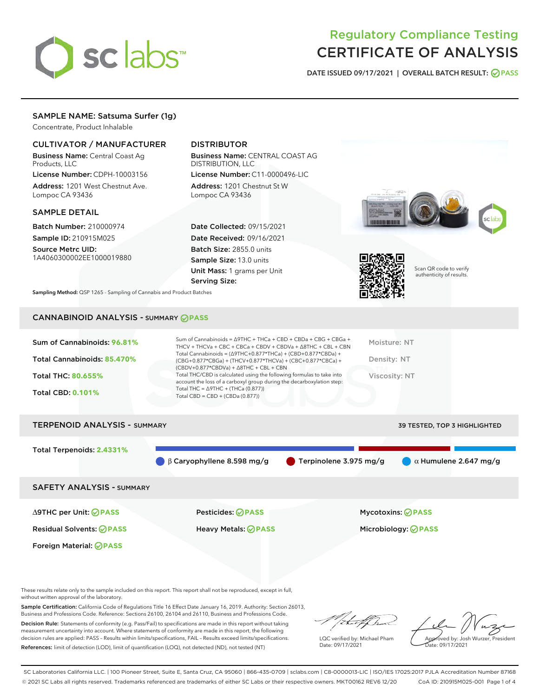

# Regulatory Compliance Testing CERTIFICATE OF ANALYSIS

DATE ISSUED 09/17/2021 | OVERALL BATCH RESULT: @ PASS

# SAMPLE NAME: Satsuma Surfer (1g)

Concentrate, Product Inhalable

# CULTIVATOR / MANUFACTURER

Business Name: Central Coast Ag Products, LLC

License Number: CDPH-10003156 Address: 1201 West Chestnut Ave. Lompoc CA 93436

## SAMPLE DETAIL

Batch Number: 210000974 Sample ID: 210915M025

Source Metrc UID: 1A4060300002EE1000019880

# DISTRIBUTOR

Business Name: CENTRAL COAST AG DISTRIBUTION, LLC License Number: C11-0000496-LIC

Address: 1201 Chestnut St W Lompoc CA 93436

Date Collected: 09/15/2021 Date Received: 09/16/2021 Batch Size: 2855.0 units Sample Size: 13.0 units Unit Mass: 1 grams per Unit Serving Size:





Scan QR code to verify authenticity of results.

Sampling Method: QSP 1265 - Sampling of Cannabis and Product Batches

# CANNABINOID ANALYSIS - SUMMARY **PASS**

| Sum of Cannabinoids: 96.81% | Sum of Cannabinoids = $\triangle$ 9THC + THCa + CBD + CBDa + CBG + CBGa +<br>THCV + THCVa + CBC + CBCa + CBDV + CBDVa + $\Delta$ 8THC + CBL + CBN                                    | Moisture: NT  |
|-----------------------------|--------------------------------------------------------------------------------------------------------------------------------------------------------------------------------------|---------------|
| Total Cannabinoids: 85.470% | Total Cannabinoids = $(\Delta$ 9THC+0.877*THCa) + (CBD+0.877*CBDa) +<br>(CBG+0.877*CBGa) + (THCV+0.877*THCVa) + (CBC+0.877*CBCa) +<br>$(CBDV+0.877*CBDVa) + \Delta 8THC + CBL + CBN$ | Density: NT   |
| <b>Total THC: 80.655%</b>   | Total THC/CBD is calculated using the following formulas to take into<br>account the loss of a carboxyl group during the decarboxylation step:                                       | Viscosity: NT |
| <b>Total CBD: 0.101%</b>    | Total THC = $\triangle$ 9THC + (THCa (0.877))<br>Total CBD = $CBD + (CBDa (0.877))$                                                                                                  |               |
|                             |                                                                                                                                                                                      |               |

| <b>TERPENOID ANALYSIS - SUMMARY</b> |                                             |                                  | <b>39 TESTED, TOP 3 HIGHLIGHTED</b> |
|-------------------------------------|---------------------------------------------|----------------------------------|-------------------------------------|
| Total Terpenoids: 2.4331%           |                                             |                                  |                                     |
|                                     | $\bigcirc$ $\beta$ Caryophyllene 8.598 mg/g | $\bullet$ Terpinolene 3.975 mg/g | $\alpha$ Humulene 2.647 mg/g        |
| <b>SAFETY ANALYSIS - SUMMARY</b>    |                                             |                                  |                                     |
|                                     |                                             |                                  |                                     |

Foreign Material: **PASS**

Residual Solvents: **PASS** Heavy Metals: **PASS** Microbiology: **PASS**

∆9THC per Unit: **PASS** Pesticides: **PASS** Mycotoxins: **PASS**

These results relate only to the sample included on this report. This report shall not be reproduced, except in full, without written approval of the laboratory.

Sample Certification: California Code of Regulations Title 16 Effect Date January 16, 2019. Authority: Section 26013, Business and Professions Code. Reference: Sections 26100, 26104 and 26110, Business and Professions Code.

Decision Rule: Statements of conformity (e.g. Pass/Fail) to specifications are made in this report without taking measurement uncertainty into account. Where statements of conformity are made in this report, the following decision rules are applied: PASS – Results within limits/specifications, FAIL – Results exceed limits/specifications. References: limit of detection (LOD), limit of quantification (LOQ), not detected (ND), not tested (NT)

that fCh

LQC verified by: Michael Pham Date: 09/17/2021

Approved by: Josh Wurzer, President ate: 09/17/2021

SC Laboratories California LLC. | 100 Pioneer Street, Suite E, Santa Cruz, CA 95060 | 866-435-0709 | sclabs.com | C8-0000013-LIC | ISO/IES 17025:2017 PJLA Accreditation Number 87168 © 2021 SC Labs all rights reserved. Trademarks referenced are trademarks of either SC Labs or their respective owners. MKT00162 REV6 12/20 CoA ID: 210915M025-001 Page 1 of 4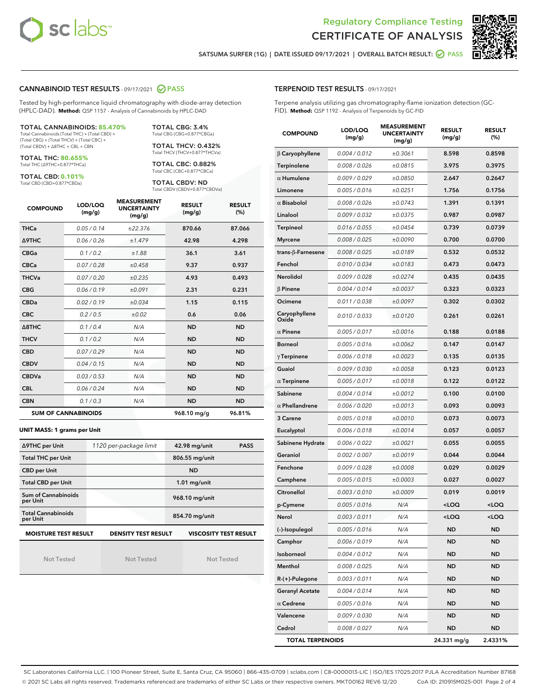



SATSUMA SURFER (1G) | DATE ISSUED 09/17/2021 | OVERALL BATCH RESULT: 2 PASS

## CANNABINOID TEST RESULTS - 09/17/2021 2 PASS

Tested by high-performance liquid chromatography with diode-array detection (HPLC-DAD). **Method:** QSP 1157 - Analysis of Cannabinoids by HPLC-DAD

TOTAL CANNABINOIDS: **85.470%**

Total Cannabinoids (Total THC) + (Total CBD) + (Total CBG) + (Total THCV) + (Total CBC) + (Total CBDV) + ∆8THC + CBL + CBN

TOTAL THC: **80.655%** Total THC (∆9THC+0.877\*THCa)

TOTAL CBD: **0.101%**

Total CBD (CBD+0.877\*CBDa)

TOTAL CBG: 3.4% Total CBG (CBG+0.877\*CBGa)

TOTAL THCV: 0.432% Total THCV (THCV+0.877\*THCVa)

TOTAL CBC: 0.882% Total CBC (CBC+0.877\*CBCa)

TOTAL CBDV: ND Total CBDV (CBDV+0.877\*CBDVa)

| <b>COMPOUND</b>  | LOD/LOQ<br>(mg/g)          | <b>MEASUREMENT</b><br><b>UNCERTAINTY</b><br>(mg/g) | <b>RESULT</b><br>(mg/g) | <b>RESULT</b><br>(%) |
|------------------|----------------------------|----------------------------------------------------|-------------------------|----------------------|
| <b>THCa</b>      | 0.05/0.14                  | ±22.376                                            | 870.66                  | 87.066               |
| <b>A9THC</b>     | 0.06 / 0.26                | ±1.479                                             | 42.98                   | 4.298                |
| <b>CBGa</b>      | 0.1 / 0.2                  | ±1.88                                              | 36.1                    | 3.61                 |
| <b>CBCa</b>      | 0.07/0.28                  | ±0.458                                             | 9.37                    | 0.937                |
| <b>THCVa</b>     | 0.07/0.20                  | ±0.235                                             | 4.93                    | 0.493                |
| <b>CBG</b>       | 0.06/0.19                  | ±0.091                                             | 2.31                    | 0.231                |
| <b>CBDa</b>      | 0.02/0.19                  | ±0.034                                             | 1.15                    | 0.115                |
| <b>CBC</b>       | 0.2 / 0.5                  | ±0.02                                              | 0.6                     | 0.06                 |
| $\triangle$ 8THC | 0.1/0.4                    | N/A                                                | <b>ND</b>               | <b>ND</b>            |
| <b>THCV</b>      | 0.1/0.2                    | N/A                                                | <b>ND</b>               | <b>ND</b>            |
| <b>CBD</b>       | 0.07/0.29                  | N/A                                                | <b>ND</b>               | <b>ND</b>            |
| <b>CBDV</b>      | 0.04 / 0.15                | N/A                                                | <b>ND</b>               | <b>ND</b>            |
| <b>CBDVa</b>     | 0.03/0.53                  | N/A                                                | <b>ND</b>               | <b>ND</b>            |
| <b>CBL</b>       | 0.06 / 0.24                | N/A                                                | <b>ND</b>               | <b>ND</b>            |
| <b>CBN</b>       | 0.1/0.3                    | N/A                                                | <b>ND</b>               | <b>ND</b>            |
|                  | <b>SUM OF CANNABINOIDS</b> |                                                    | 968.10 mg/g             | 96.81%               |

#### **UNIT MASS: 1 grams per Unit**

| ∆9THC per Unit                        | 1120 per-package limit     | 42.98 mg/unit<br><b>PASS</b> |
|---------------------------------------|----------------------------|------------------------------|
| <b>Total THC per Unit</b>             |                            | 806.55 mg/unit               |
| <b>CBD per Unit</b>                   |                            | <b>ND</b>                    |
| <b>Total CBD per Unit</b>             |                            | $1.01$ mg/unit               |
| Sum of Cannabinoids<br>per Unit       |                            | 968.10 mg/unit               |
| <b>Total Cannabinoids</b><br>per Unit |                            | 854.70 mg/unit               |
| <b>MOISTURE TEST RESULT</b>           | <b>DENSITY TEST RESULT</b> | <b>VISCOSITY TEST RESULT</b> |

Not Tested

Not Tested

Not Tested

## TERPENOID TEST RESULTS - 09/17/2021

Terpene analysis utilizing gas chromatography-flame ionization detection (GC-FID). **Method:** QSP 1192 - Analysis of Terpenoids by GC-FID

| <b>COMPOUND</b>           | LOD/LOQ<br>(mg/g) | <b>MEASUREMENT</b><br><b>UNCERTAINTY</b><br>(mg/g) | <b>RESULT</b><br>(mg/g)                         | <b>RESULT</b><br>$(\%)$ |
|---------------------------|-------------------|----------------------------------------------------|-------------------------------------------------|-------------------------|
| $\beta$ Caryophyllene     | 0.004 / 0.012     | ±0.3061                                            | 8.598                                           | 0.8598                  |
| Terpinolene               | 0.008 / 0.026     | ±0.0815                                            | 3.975                                           | 0.3975                  |
| $\alpha$ Humulene         | 0.009 / 0.029     | ±0.0850                                            | 2.647                                           | 0.2647                  |
| Limonene                  | 0.005 / 0.016     | ±0.0251                                            | 1.756                                           | 0.1756                  |
| $\alpha$ Bisabolol        | 0.008 / 0.026     | ±0.0743                                            | 1.391                                           | 0.1391                  |
| Linalool                  | 0.009 / 0.032     | ±0.0375                                            | 0.987                                           | 0.0987                  |
| Terpineol                 | 0.016 / 0.055     | ±0.0454                                            | 0.739                                           | 0.0739                  |
| <b>Myrcene</b>            | 0.008 / 0.025     | ±0.0090                                            | 0.700                                           | 0.0700                  |
| trans- $\beta$ -Farnesene | 0.008 / 0.025     | ±0.0189                                            | 0.532                                           | 0.0532                  |
| Fenchol                   | 0.010 / 0.034     | ±0.0183                                            | 0.473                                           | 0.0473                  |
| Nerolidol                 | 0.009 / 0.028     | ±0.0274                                            | 0.435                                           | 0.0435                  |
| $\beta$ Pinene            | 0.004 / 0.014     | ±0.0037                                            | 0.323                                           | 0.0323                  |
| Ocimene                   | 0.011 / 0.038     | ±0.0097                                            | 0.302                                           | 0.0302                  |
| Caryophyllene<br>Oxide    | 0.010 / 0.033     | ±0.0120                                            | 0.261                                           | 0.0261                  |
| $\alpha$ Pinene           | 0.005 / 0.017     | ±0.0016                                            | 0.188                                           | 0.0188                  |
| <b>Borneol</b>            | 0.005 / 0.016     | ±0.0062                                            | 0.147                                           | 0.0147                  |
| $\gamma$ Terpinene        | 0.006 / 0.018     | ±0.0023                                            | 0.135                                           | 0.0135                  |
| Guaiol                    | 0.009 / 0.030     | ±0.0058                                            | 0.123                                           | 0.0123                  |
| $\alpha$ Terpinene        | 0.005 / 0.017     | ±0.0018                                            | 0.122                                           | 0.0122                  |
| Sabinene                  | 0.004 / 0.014     | ±0.0012                                            | 0.100                                           | 0.0100                  |
| $\alpha$ Phellandrene     | 0.006 / 0.020     | ±0.0013                                            | 0.093                                           | 0.0093                  |
| 3 Carene                  | 0.005 / 0.018     | ±0.0010                                            | 0.073                                           | 0.0073                  |
| Eucalyptol                | 0.006 / 0.018     | ±0.0014                                            | 0.057                                           | 0.0057                  |
| Sabinene Hydrate          | 0.006 / 0.022     | ±0.0021                                            | 0.055                                           | 0.0055                  |
| Geraniol                  | 0.002 / 0.007     | ±0.0019                                            | 0.044                                           | 0.0044                  |
| Fenchone                  | 0.009 / 0.028     | ±0.0008                                            | 0.029                                           | 0.0029                  |
| Camphene                  | 0.005 / 0.015     | ±0.0003                                            | 0.027                                           | 0.0027                  |
| Citronellol               | 0.003 / 0.010     | ±0.0009                                            | 0.019                                           | 0.0019                  |
| p-Cymene                  | 0.005 / 0.016     | N/A                                                | <loq< th=""><th><loq< th=""></loq<></th></loq<> | <loq< th=""></loq<>     |
| Nerol                     | 0.003 / 0.011     | N/A                                                | $\sim$ 00                                       | $\sim$ 0.0              |
| (-)-Isopulegol            | 0.005 / 0.016     | N/A                                                | ND                                              | ND                      |
| Camphor                   | 0.006 / 0.019     | N/A                                                | ND                                              | <b>ND</b>               |
| Isoborneol                | 0.004 / 0.012     | N/A                                                | ND                                              | ND                      |
| Menthol                   | 0.008 / 0.025     | N/A                                                | ND                                              | ND                      |
| R-(+)-Pulegone            | 0.003 / 0.011     | N/A                                                | ND                                              | ND                      |
| <b>Geranyl Acetate</b>    | 0.004 / 0.014     | N/A                                                | ND                                              | ND                      |
| $\alpha$ Cedrene          | 0.005 / 0.016     | N/A                                                | ND                                              | ND                      |
| Valencene                 | 0.009 / 0.030     | N/A                                                | ND                                              | ND                      |
| Cedrol                    | 0.008 / 0.027     | N/A                                                | ND                                              | <b>ND</b>               |
| <b>TOTAL TERPENOIDS</b>   |                   |                                                    | 24.331 mg/g                                     | 2.4331%                 |

SC Laboratories California LLC. | 100 Pioneer Street, Suite E, Santa Cruz, CA 95060 | 866-435-0709 | sclabs.com | C8-0000013-LIC | ISO/IES 17025:2017 PJLA Accreditation Number 87168 © 2021 SC Labs all rights reserved. Trademarks referenced are trademarks of either SC Labs or their respective owners. MKT00162 REV6 12/20 CoA ID: 210915M025-001 Page 2 of 4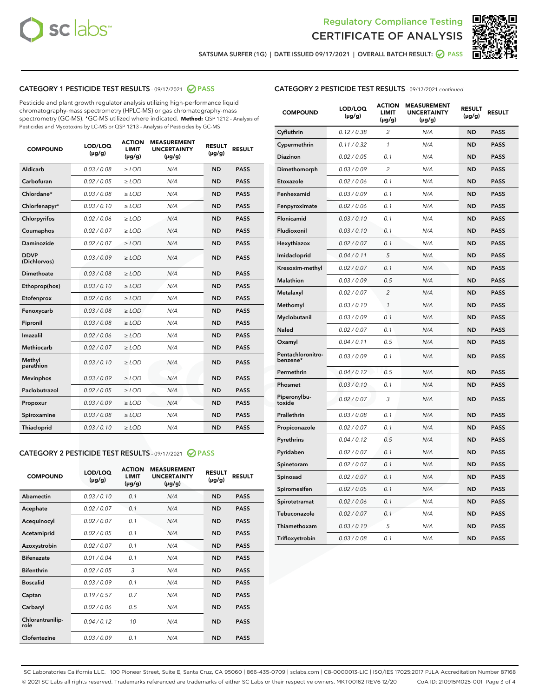



SATSUMA SURFER (1G) | DATE ISSUED 09/17/2021 | OVERALL BATCH RESULT: @ PASS

# CATEGORY 1 PESTICIDE TEST RESULTS - 09/17/2021 2 PASS

Pesticide and plant growth regulator analysis utilizing high-performance liquid chromatography-mass spectrometry (HPLC-MS) or gas chromatography-mass spectrometry (GC-MS). \*GC-MS utilized where indicated. **Method:** QSP 1212 - Analysis of Pesticides and Mycotoxins by LC-MS or QSP 1213 - Analysis of Pesticides by GC-MS

| <b>COMPOUND</b>             | LOD/LOQ<br>$(\mu g/g)$ | <b>ACTION</b><br><b>LIMIT</b><br>$(\mu q/q)$ | <b>MEASUREMENT</b><br><b>UNCERTAINTY</b><br>$(\mu g/g)$ | <b>RESULT</b><br>$(\mu g/g)$ | <b>RESULT</b> |
|-----------------------------|------------------------|----------------------------------------------|---------------------------------------------------------|------------------------------|---------------|
| Aldicarb                    | 0.03 / 0.08            | $\ge$ LOD                                    | N/A                                                     | <b>ND</b>                    | <b>PASS</b>   |
| Carbofuran                  | 0.02 / 0.05            | $\ge$ LOD                                    | N/A                                                     | <b>ND</b>                    | <b>PASS</b>   |
| Chlordane*                  | 0.03 / 0.08            | $\ge$ LOD                                    | N/A                                                     | <b>ND</b>                    | <b>PASS</b>   |
| Chlorfenapyr*               | 0.03/0.10              | $\ge$ LOD                                    | N/A                                                     | <b>ND</b>                    | <b>PASS</b>   |
| Chlorpyrifos                | 0.02 / 0.06            | $\ge$ LOD                                    | N/A                                                     | <b>ND</b>                    | <b>PASS</b>   |
| Coumaphos                   | 0.02 / 0.07            | $\ge$ LOD                                    | N/A                                                     | <b>ND</b>                    | <b>PASS</b>   |
| Daminozide                  | 0.02 / 0.07            | $\ge$ LOD                                    | N/A                                                     | <b>ND</b>                    | <b>PASS</b>   |
| <b>DDVP</b><br>(Dichlorvos) | 0.03/0.09              | $>$ LOD                                      | N/A                                                     | <b>ND</b>                    | <b>PASS</b>   |
| Dimethoate                  | 0.03 / 0.08            | $\ge$ LOD                                    | N/A                                                     | <b>ND</b>                    | <b>PASS</b>   |
| Ethoprop(hos)               | 0.03/0.10              | $\ge$ LOD                                    | N/A                                                     | <b>ND</b>                    | <b>PASS</b>   |
| Etofenprox                  | 0.02/0.06              | $>$ LOD                                      | N/A                                                     | <b>ND</b>                    | <b>PASS</b>   |
| Fenoxycarb                  | 0.03 / 0.08            | $\ge$ LOD                                    | N/A                                                     | <b>ND</b>                    | <b>PASS</b>   |
| Fipronil                    | 0.03/0.08              | $>$ LOD                                      | N/A                                                     | <b>ND</b>                    | <b>PASS</b>   |
| Imazalil                    | 0.02 / 0.06            | $\ge$ LOD                                    | N/A                                                     | <b>ND</b>                    | <b>PASS</b>   |
| Methiocarb                  | 0.02 / 0.07            | $\ge$ LOD                                    | N/A                                                     | <b>ND</b>                    | <b>PASS</b>   |
| Methyl<br>parathion         | 0.03/0.10              | $>$ LOD                                      | N/A                                                     | <b>ND</b>                    | <b>PASS</b>   |
| <b>Mevinphos</b>            | 0.03/0.09              | $>$ LOD                                      | N/A                                                     | <b>ND</b>                    | <b>PASS</b>   |
| Paclobutrazol               | 0.02 / 0.05            | $\ge$ LOD                                    | N/A                                                     | <b>ND</b>                    | <b>PASS</b>   |
| Propoxur                    | 0.03 / 0.09            | $\ge$ LOD                                    | N/A                                                     | <b>ND</b>                    | <b>PASS</b>   |
| Spiroxamine                 | 0.03 / 0.08            | $\ge$ LOD                                    | N/A                                                     | <b>ND</b>                    | <b>PASS</b>   |
| Thiacloprid                 | 0.03/0.10              | $\ge$ LOD                                    | N/A                                                     | <b>ND</b>                    | <b>PASS</b>   |

#### CATEGORY 2 PESTICIDE TEST RESULTS - 09/17/2021 @ PASS

| <b>COMPOUND</b>          | LOD/LOO<br>$(\mu g/g)$ | <b>ACTION</b><br>LIMIT<br>$(\mu g/g)$ | <b>MEASUREMENT</b><br><b>UNCERTAINTY</b><br>$(\mu g/g)$ | <b>RESULT</b><br>$(\mu g/g)$ | <b>RESULT</b> |  |
|--------------------------|------------------------|---------------------------------------|---------------------------------------------------------|------------------------------|---------------|--|
| Abamectin                | 0.03/0.10              | 0.1                                   | N/A                                                     | <b>ND</b>                    | <b>PASS</b>   |  |
| Acephate                 | 0.02/0.07              | 0.1                                   | N/A                                                     | <b>ND</b>                    | <b>PASS</b>   |  |
| Acequinocyl              | 0.02/0.07              | 0.1                                   | N/A                                                     | <b>ND</b>                    | <b>PASS</b>   |  |
| Acetamiprid              | 0.02 / 0.05            | 0.1                                   | N/A                                                     | <b>ND</b>                    | <b>PASS</b>   |  |
| Azoxystrobin             | 0.02/0.07              | 0.1                                   | N/A                                                     | <b>ND</b>                    | <b>PASS</b>   |  |
| <b>Bifenazate</b>        | 0.01 / 0.04            | 0.1                                   | N/A                                                     | <b>ND</b>                    | <b>PASS</b>   |  |
| <b>Bifenthrin</b>        | 0.02 / 0.05            | 3                                     | N/A                                                     | <b>ND</b>                    | <b>PASS</b>   |  |
| <b>Boscalid</b>          | 0.03/0.09              | 0.1                                   | N/A                                                     | <b>ND</b>                    | <b>PASS</b>   |  |
| Captan                   | 0.19/0.57              | 0.7                                   | N/A                                                     | <b>ND</b>                    | <b>PASS</b>   |  |
| Carbaryl                 | 0.02/0.06              | 0.5                                   | N/A                                                     | <b>ND</b>                    | <b>PASS</b>   |  |
| Chlorantranilip-<br>role | 0.04/0.12              | 10                                    | N/A                                                     | <b>ND</b>                    | <b>PASS</b>   |  |
| Clofentezine             | 0.03/0.09              | 0.1                                   | N/A                                                     | <b>ND</b>                    | <b>PASS</b>   |  |

| <b>CATEGORY 2 PESTICIDE TEST RESULTS</b> - 09/17/2021 continued |
|-----------------------------------------------------------------|
|-----------------------------------------------------------------|

| <b>COMPOUND</b>               | LOD/LOQ<br>(µg/g) | <b>ACTION</b><br><b>LIMIT</b><br>$(\mu g/g)$ | <b>MEASUREMENT</b><br><b>UNCERTAINTY</b><br>$(\mu g/g)$ | <b>RESULT</b><br>(µg/g) | <b>RESULT</b> |
|-------------------------------|-------------------|----------------------------------------------|---------------------------------------------------------|-------------------------|---------------|
| Cyfluthrin                    | 0.12 / 0.38       | $\overline{2}$                               | N/A                                                     | <b>ND</b>               | <b>PASS</b>   |
| Cypermethrin                  | 0.11 / 0.32       | $\mathbf{1}$                                 | N/A                                                     | <b>ND</b>               | <b>PASS</b>   |
| <b>Diazinon</b>               | 0.02 / 0.05       | 0.1                                          | N/A                                                     | <b>ND</b>               | <b>PASS</b>   |
| Dimethomorph                  | 0.03 / 0.09       | $\overline{c}$                               | N/A                                                     | <b>ND</b>               | <b>PASS</b>   |
| Etoxazole                     | 0.02 / 0.06       | 0.1                                          | N/A                                                     | <b>ND</b>               | <b>PASS</b>   |
| Fenhexamid                    | 0.03 / 0.09       | 0.1                                          | N/A                                                     | <b>ND</b>               | <b>PASS</b>   |
| Fenpyroximate                 | 0.02 / 0.06       | 0.1                                          | N/A                                                     | <b>ND</b>               | <b>PASS</b>   |
| Flonicamid                    | 0.03 / 0.10       | 0.1                                          | N/A                                                     | <b>ND</b>               | <b>PASS</b>   |
| Fludioxonil                   | 0.03 / 0.10       | 0.1                                          | N/A                                                     | <b>ND</b>               | <b>PASS</b>   |
| Hexythiazox                   | 0.02 / 0.07       | 0.1                                          | N/A                                                     | <b>ND</b>               | <b>PASS</b>   |
| Imidacloprid                  | 0.04 / 0.11       | 5                                            | N/A                                                     | <b>ND</b>               | <b>PASS</b>   |
| Kresoxim-methyl               | 0.02 / 0.07       | 0.1                                          | N/A                                                     | <b>ND</b>               | <b>PASS</b>   |
| <b>Malathion</b>              | 0.03 / 0.09       | 0.5                                          | N/A                                                     | <b>ND</b>               | <b>PASS</b>   |
| Metalaxyl                     | 0.02 / 0.07       | $\overline{2}$                               | N/A                                                     | <b>ND</b>               | <b>PASS</b>   |
| Methomyl                      | 0.03 / 0.10       | 1                                            | N/A                                                     | <b>ND</b>               | <b>PASS</b>   |
| Myclobutanil                  | 0.03 / 0.09       | 0.1                                          | N/A                                                     | <b>ND</b>               | <b>PASS</b>   |
| Naled                         | 0.02 / 0.07       | 0.1                                          | N/A                                                     | <b>ND</b>               | <b>PASS</b>   |
| Oxamyl                        | 0.04 / 0.11       | 0.5                                          | N/A                                                     | <b>ND</b>               | <b>PASS</b>   |
| Pentachloronitro-<br>benzene* | 0.03 / 0.09       | 0.1                                          | N/A                                                     | <b>ND</b>               | <b>PASS</b>   |
| Permethrin                    | 0.04 / 0.12       | 0.5                                          | N/A                                                     | <b>ND</b>               | <b>PASS</b>   |
| Phosmet                       | 0.03 / 0.10       | 0.1                                          | N/A                                                     | <b>ND</b>               | <b>PASS</b>   |
| Piperonylbu-<br>toxide        | 0.02 / 0.07       | 3                                            | N/A                                                     | <b>ND</b>               | <b>PASS</b>   |
| Prallethrin                   | 0.03 / 0.08       | 0.1                                          | N/A                                                     | <b>ND</b>               | <b>PASS</b>   |
| Propiconazole                 | 0.02 / 0.07       | 0.1                                          | N/A                                                     | <b>ND</b>               | <b>PASS</b>   |
| Pyrethrins                    | 0.04 / 0.12       | 0.5                                          | N/A                                                     | <b>ND</b>               | <b>PASS</b>   |
| Pyridaben                     | 0.02 / 0.07       | 0.1                                          | N/A                                                     | <b>ND</b>               | <b>PASS</b>   |
| Spinetoram                    | 0.02 / 0.07       | 0.1                                          | N/A                                                     | <b>ND</b>               | <b>PASS</b>   |
| Spinosad                      | 0.02 / 0.07       | 0.1                                          | N/A                                                     | ND                      | <b>PASS</b>   |
| Spiromesifen                  | 0.02 / 0.05       | 0.1                                          | N/A                                                     | <b>ND</b>               | <b>PASS</b>   |
| Spirotetramat                 | 0.02 / 0.06       | 0.1                                          | N/A                                                     | <b>ND</b>               | <b>PASS</b>   |
| Tebuconazole                  | 0.02 / 0.07       | 0.1                                          | N/A                                                     | <b>ND</b>               | <b>PASS</b>   |
| Thiamethoxam                  | 0.03 / 0.10       | 5                                            | N/A                                                     | <b>ND</b>               | <b>PASS</b>   |
| Trifloxystrobin               | 0.03 / 0.08       | 0.1                                          | N/A                                                     | ND                      | <b>PASS</b>   |

SC Laboratories California LLC. | 100 Pioneer Street, Suite E, Santa Cruz, CA 95060 | 866-435-0709 | sclabs.com | C8-0000013-LIC | ISO/IES 17025:2017 PJLA Accreditation Number 87168 © 2021 SC Labs all rights reserved. Trademarks referenced are trademarks of either SC Labs or their respective owners. MKT00162 REV6 12/20 CoA ID: 210915M025-001 Page 3 of 4